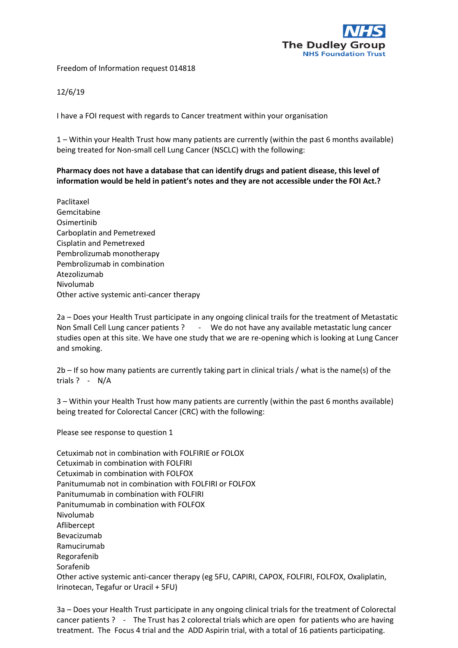

Freedom of Information request 014818

12/6/19

I have a FOI request with regards to Cancer treatment within your organisation

1 – Within your Health Trust how many patients are currently (within the past 6 months available) being treated for Non-small cell Lung Cancer (NSCLC) with the following:

## **Pharmacy does not have a database that can identify drugs and patient disease, this level of information would be held in patient's notes and they are not accessible under the FOI Act.?**

Paclitaxel Gemcitabine Osimertinib Carboplatin and Pemetrexed Cisplatin and Pemetrexed Pembrolizumab monotherapy Pembrolizumab in combination Atezolizumab Nivolumab Other active systemic anti-cancer therapy

2a – Does your Health Trust participate in any ongoing clinical trails for the treatment of Metastatic Non Small Cell Lung cancer patients ? - We do not have any available metastatic lung cancer studies open at this site. We have one study that we are re-opening which is looking at Lung Cancer and smoking.

2b – If so how many patients are currently taking part in clinical trials / what is the name(s) of the trials ? - N/A

3 – Within your Health Trust how many patients are currently (within the past 6 months available) being treated for Colorectal Cancer (CRC) with the following:

Please see response to question 1

Cetuximab not in combination with FOLFIRIE or FOLOX Cetuximab in combination with FOLFIRI Cetuximab in combination with FOLFOX Panitumumab not in combination with FOLFIRI or FOLFOX Panitumumab in combination with FOLFIRI Panitumumab in combination with FOLFOX Nivolumab Aflibercept Bevacizumab Ramucirumab Regorafenib Sorafenib Other active systemic anti-cancer therapy (eg 5FU, CAPIRI, CAPOX, FOLFIRI, FOLFOX, Oxaliplatin, Irinotecan, Tegafur or Uracil + 5FU)

3a – Does your Health Trust participate in any ongoing clinical trials for the treatment of Colorectal cancer patients ? - The Trust has 2 colorectal trials which are open for patients who are having treatment. The Focus 4 trial and the ADD Aspirin trial, with a total of 16 patients participating.